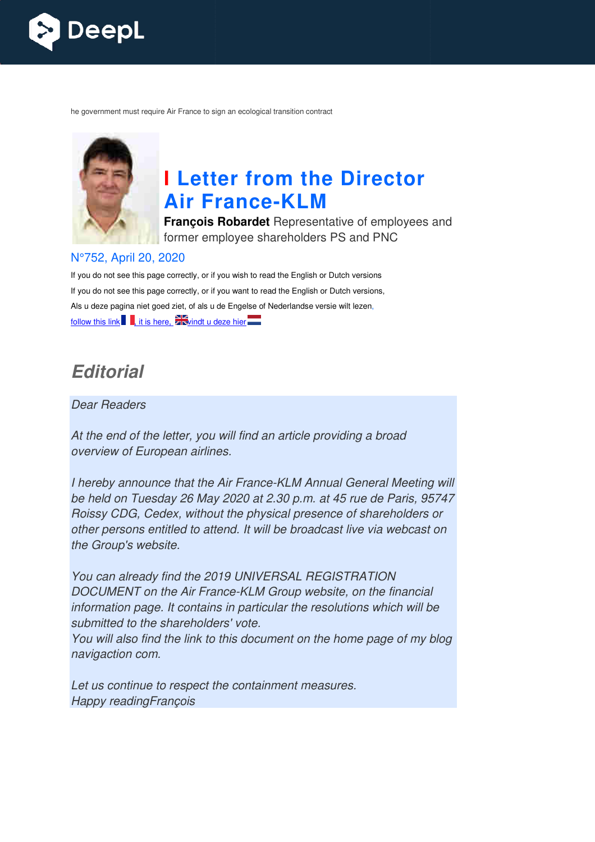

he government must require Air France to sign an ecological transition contract



# **I Letter from the Director Air France France-KLM**

**François Robardet** Representative of employees and former employee shareholders PS and PNC

#### N°752, April 20, 2020

If you do not see this page correctly, or if you wish to read the English or Dutch versions If you do not see this page correctly, or if you want to read the English or Dutch versions, Als u deze pagina niet goed ziet, of als u de Engelse of Nederlandse versie wilt lezen, follow this link  $\blacksquare$ , it is here,  $\blacksquare$  windt u deze hier

## *Editorial*

Dear Readers

At the end of the letter, you will find an article providing a broad overview of European airlines.

I hereby announce that the Air France-KLM Annual General Meeting will be held on Tuesday 26 May 2020 at 2.30 p.m. at 45 rue de Paris, 95747 Roissy CDG, Cedex, without the physical presence of shareholders or other persons entitled to attend. It will be broadcast live via webcast on the Group's website. France-KLM Annual<br>20 at 2.30 p.m. at 45<br>9 physical presence<br>It will be broadcast<br>JNIVERSAL REGIS<br>KLM Group website

You can already find the 2019 UNIVERSAL REGISTRATION DOCUMENT on the Air France-KLM Group website, on the financial information page. It contains in particular the resolutions which will be submitted to the shareholders' vote. You will also find the link to this document on the home page of my blog navigaction com.

Let us continue to respect the containment measures. Happy readingFrançois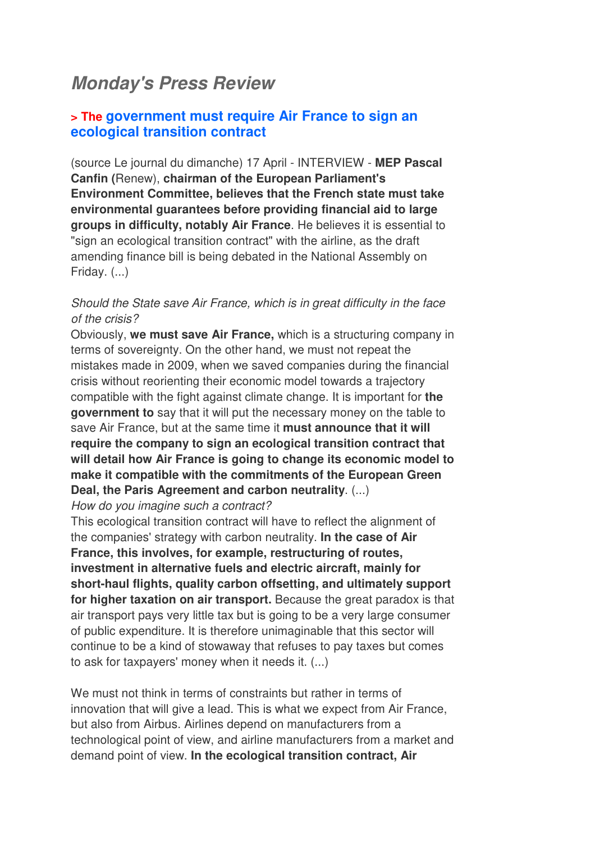## *Monday's Press Review*

#### **> The government must require Air France to sign an ecological transition contract**

(source Le journal du dimanche) 17 April - INTERVIEW - **MEP Pascal Canfin (**Renew), **chairman of the European Parliament's Environment Committee, believes that the French state must take environmental guarantees before providing financial aid to large groups in difficulty, notably Air France**. He believes it is essential to "sign an ecological transition contract" with the airline, as the draft amending finance bill is being debated in the National Assembly on Friday. (...)

#### Should the State save Air France, which is in great difficulty in the face of the crisis?

Obviously, **we must save Air France,** which is a structuring company in terms of sovereignty. On the other hand, we must not repeat the mistakes made in 2009, when we saved companies during the financial crisis without reorienting their economic model towards a trajectory compatible with the fight against climate change. It is important for **the government to** say that it will put the necessary money on the table to save Air France, but at the same time it **must announce that it will require the company to sign an ecological transition contract that will detail how Air France is going to change its economic model to make it compatible with the commitments of the European Green Deal, the Paris Agreement and carbon neutrality**. (...)

How do you imagine such a contract?

This ecological transition contract will have to reflect the alignment of the companies' strategy with carbon neutrality. **In the case of Air France, this involves, for example, restructuring of routes, investment in alternative fuels and electric aircraft, mainly for short-haul flights, quality carbon offsetting, and ultimately support for higher taxation on air transport.** Because the great paradox is that air transport pays very little tax but is going to be a very large consumer of public expenditure. It is therefore unimaginable that this sector will continue to be a kind of stowaway that refuses to pay taxes but comes to ask for taxpayers' money when it needs it. (...)

We must not think in terms of constraints but rather in terms of innovation that will give a lead. This is what we expect from Air France, but also from Airbus. Airlines depend on manufacturers from a technological point of view, and airline manufacturers from a market and demand point of view. **In the ecological transition contract, Air**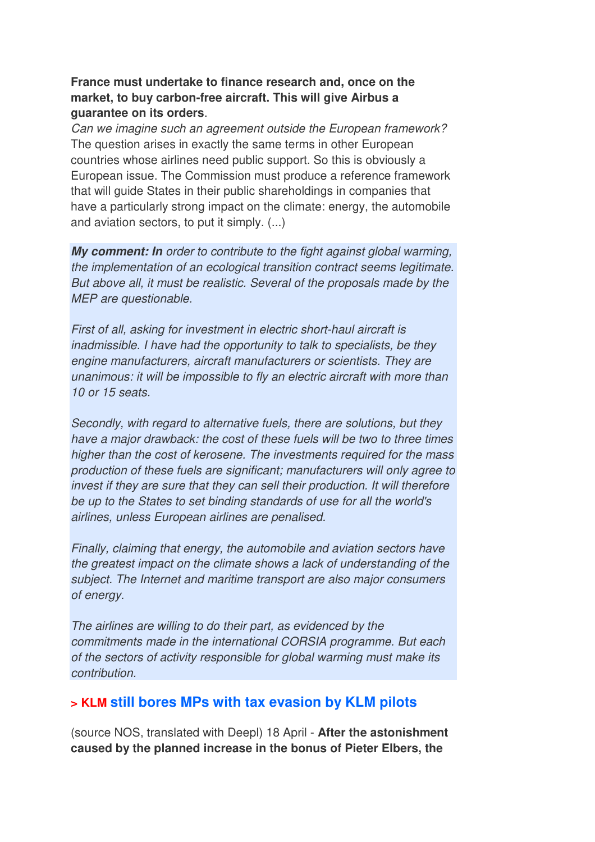#### **France must undertake to finance research and, once on the market, to buy carbon-free aircraft. This will give Airbus a guarantee on its orders**.

Can we imagine such an agreement outside the European framework? The question arises in exactly the same terms in other European countries whose airlines need public support. So this is obviously a European issue. The Commission must produce a reference framework that will guide States in their public shareholdings in companies that have a particularly strong impact on the climate: energy, the automobile and aviation sectors, to put it simply. (...)

*My comment: In* order to contribute to the fight against global warming, the implementation of an ecological transition contract seems legitimate. But above all, it must be realistic. Several of the proposals made by the MEP are questionable.

First of all, asking for investment in electric short-haul aircraft is inadmissible. I have had the opportunity to talk to specialists, be they engine manufacturers, aircraft manufacturers or scientists. They are unanimous: it will be impossible to fly an electric aircraft with more than 10 or 15 seats.

Secondly, with regard to alternative fuels, there are solutions, but they have a major drawback: the cost of these fuels will be two to three times higher than the cost of kerosene. The investments required for the mass production of these fuels are significant; manufacturers will only agree to invest if they are sure that they can sell their production. It will therefore be up to the States to set binding standards of use for all the world's airlines, unless European airlines are penalised.

Finally, claiming that energy, the automobile and aviation sectors have the greatest impact on the climate shows a lack of understanding of the subject. The Internet and maritime transport are also major consumers of energy.

The airlines are willing to do their part, as evidenced by the commitments made in the international CORSIA programme. But each of the sectors of activity responsible for global warming must make its contribution.

#### **> KLM still bores MPs with tax evasion by KLM pilots**

(source NOS, translated with Deepl) 18 April - **After the astonishment caused by the planned increase in the bonus of Pieter Elbers, the**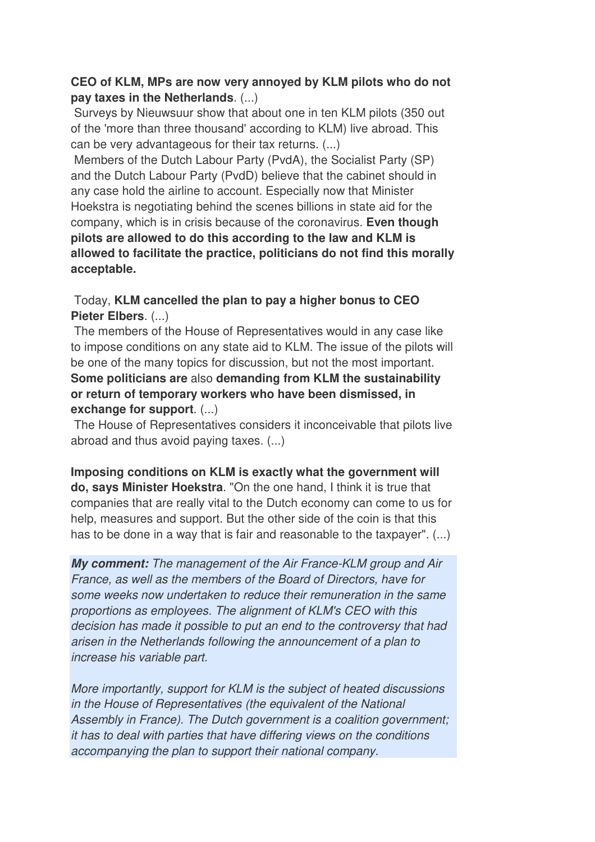#### **CEO of KLM, MPs are now very annoyed by KLM pilots who do not pay taxes in the Netherlands**. (...)

 Surveys by Nieuwsuur show that about one in ten KLM pilots (350 out of the 'more than three thousand' according to KLM) live abroad. This can be very advantageous for their tax returns. (...)

 Members of the Dutch Labour Party (PvdA), the Socialist Party (SP) and the Dutch Labour Party (PvdD) believe that the cabinet should in any case hold the airline to account. Especially now that Minister Hoekstra is negotiating behind the scenes billions in state aid for the company, which is in crisis because of the coronavirus. **Even though pilots are allowed to do this according to the law and KLM is allowed to facilitate the practice, politicians do not find this morally acceptable.** 

#### Today, **KLM cancelled the plan to pay a higher bonus to CEO Pieter Elbers**. (...)

 The members of the House of Representatives would in any case like to impose conditions on any state aid to KLM. The issue of the pilots will be one of the many topics for discussion, but not the most important. **Some politicians are** also **demanding from KLM the sustainability or return of temporary workers who have been dismissed, in exchange for support**. (...)

 The House of Representatives considers it inconceivable that pilots live abroad and thus avoid paying taxes. (...)

**Imposing conditions on KLM is exactly what the government will do, says Minister Hoekstra**. "On the one hand, I think it is true that companies that are really vital to the Dutch economy can come to us for help, measures and support. But the other side of the coin is that this has to be done in a way that is fair and reasonable to the taxpayer". (...)

*My comment:* The management of the Air France-KLM group and Air France, as well as the members of the Board of Directors, have for some weeks now undertaken to reduce their remuneration in the same proportions as employees. The alignment of KLM's CEO with this decision has made it possible to put an end to the controversy that had arisen in the Netherlands following the announcement of a plan to increase his variable part.

More importantly, support for KLM is the subject of heated discussions in the House of Representatives (the equivalent of the National Assembly in France). The Dutch government is a coalition government; it has to deal with parties that have differing views on the conditions accompanying the plan to support their national company.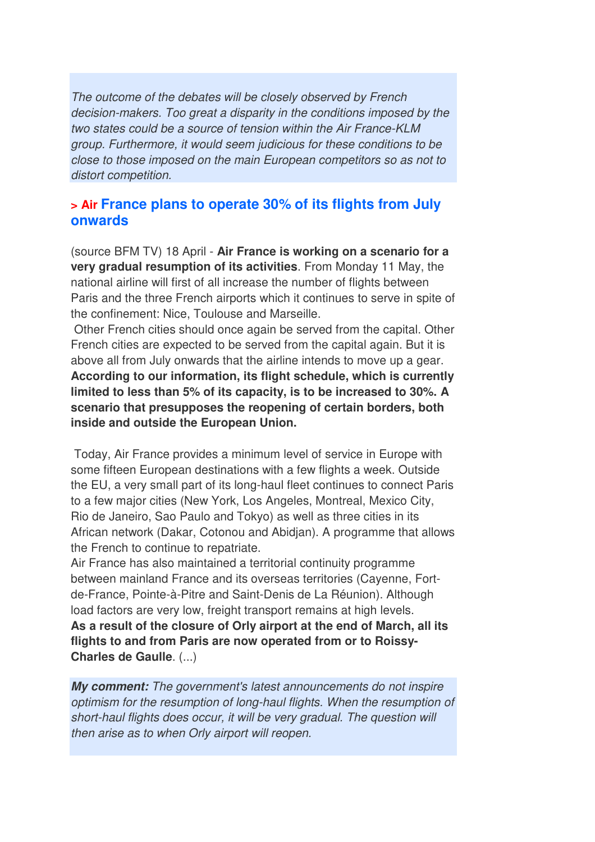The outcome of the debates will be closely observed by French decision-makers. Too great a disparity in the conditions imposed by the two states could be a source of tension within the Air France-KLM group. Furthermore, it would seem judicious for these conditions to be close to those imposed on the main European competitors so as not to distort competition.

#### **> Air France plans to operate 30% of its flights from July onwards**

(source BFM TV) 18 April - **Air France is working on a scenario for a very gradual resumption of its activities**. From Monday 11 May, the national airline will first of all increase the number of flights between Paris and the three French airports which it continues to serve in spite of the confinement: Nice, Toulouse and Marseille.

 Other French cities should once again be served from the capital. Other French cities are expected to be served from the capital again. But it is above all from July onwards that the airline intends to move up a gear. **According to our information, its flight schedule, which is currently limited to less than 5% of its capacity, is to be increased to 30%. A scenario that presupposes the reopening of certain borders, both inside and outside the European Union.** 

 Today, Air France provides a minimum level of service in Europe with some fifteen European destinations with a few flights a week. Outside the EU, a very small part of its long-haul fleet continues to connect Paris to a few major cities (New York, Los Angeles, Montreal, Mexico City, Rio de Janeiro, Sao Paulo and Tokyo) as well as three cities in its African network (Dakar, Cotonou and Abidjan). A programme that allows the French to continue to repatriate.

Air France has also maintained a territorial continuity programme between mainland France and its overseas territories (Cayenne, Fortde-France, Pointe-à-Pitre and Saint-Denis de La Réunion). Although load factors are very low, freight transport remains at high levels. **As a result of the closure of Orly airport at the end of March, all its flights to and from Paris are now operated from or to Roissy-Charles de Gaulle**. (...)

*My comment:* The government's latest announcements do not inspire optimism for the resumption of long-haul flights. When the resumption of short-haul flights does occur, it will be very gradual. The question will then arise as to when Orly airport will reopen.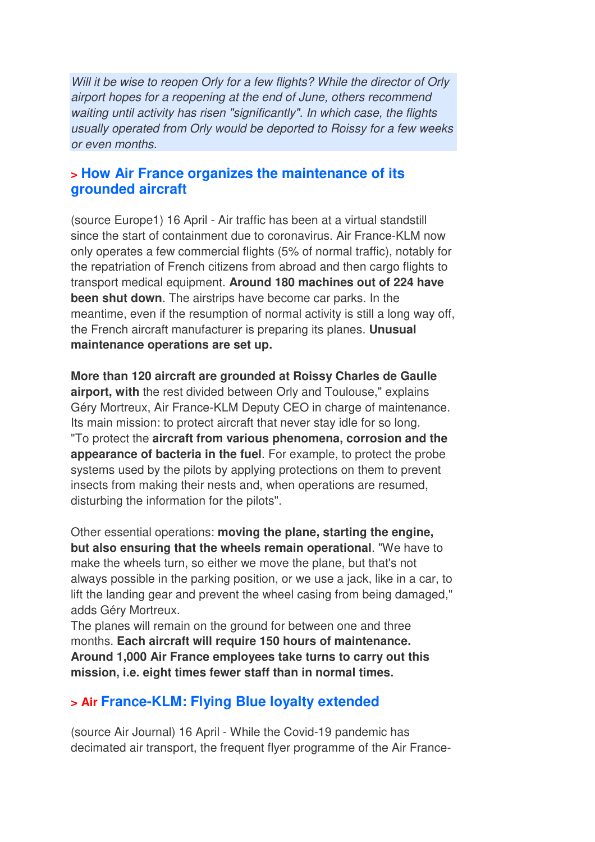Will it be wise to reopen Orly for a few flights? While the director of Orly airport hopes for a reopening at the end of June, others recommend waiting until activity has risen "significantly". In which case, the flights usually operated from Orly would be deported to Roissy for a few weeks or even months.

### **> How Air France organizes the maintenance of its grounded aircraft**

(source Europe1) 16 April - Air traffic has been at a virtual standstill since the start of containment due to coronavirus. Air France-KLM now only operates a few commercial flights (5% of normal traffic), notably for the repatriation of French citizens from abroad and then cargo flights to transport medical equipment. **Around 180 machines out of 224 have been shut down**. The airstrips have become car parks. In the meantime, even if the resumption of normal activity is still a long way off, the French aircraft manufacturer is preparing its planes. **Unusual maintenance operations are set up.** 

**More than 120 aircraft are grounded at Roissy Charles de Gaulle airport, with** the rest divided between Orly and Toulouse," explains Géry Mortreux, Air France-KLM Deputy CEO in charge of maintenance. Its main mission: to protect aircraft that never stay idle for so long. "To protect the **aircraft from various phenomena, corrosion and the appearance of bacteria in the fuel**. For example, to protect the probe systems used by the pilots by applying protections on them to prevent insects from making their nests and, when operations are resumed, disturbing the information for the pilots".

Other essential operations: **moving the plane, starting the engine, but also ensuring that the wheels remain operational**. "We have to make the wheels turn, so either we move the plane, but that's not always possible in the parking position, or we use a jack, like in a car, to lift the landing gear and prevent the wheel casing from being damaged," adds Géry Mortreux.

The planes will remain on the ground for between one and three months. **Each aircraft will require 150 hours of maintenance. Around 1,000 Air France employees take turns to carry out this mission, i.e. eight times fewer staff than in normal times.**

## **> Air France-KLM: Flying Blue loyalty extended**

(source Air Journal) 16 April - While the Covid-19 pandemic has decimated air transport, the frequent flyer programme of the Air France-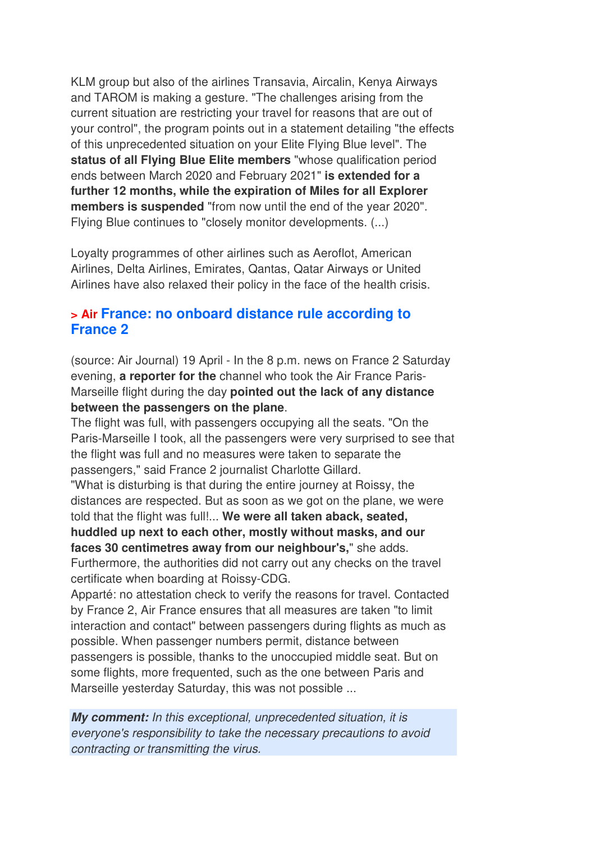KLM group but also of the airlines Transavia, Aircalin, Kenya Airways and TAROM is making a gesture. "The challenges arising from the current situation are restricting your travel for reasons that are out of your control", the program points out in a statement detailing "the effects of this unprecedented situation on your Elite Flying Blue level". The **status of all Flying Blue Elite members** "whose qualification period ends between March 2020 and February 2021" **is extended for a further 12 months, while the expiration of Miles for all Explorer members is suspended** "from now until the end of the year 2020". Flying Blue continues to "closely monitor developments. (...)

Loyalty programmes of other airlines such as Aeroflot, American Airlines, Delta Airlines, Emirates, Qantas, Qatar Airways or United Airlines have also relaxed their policy in the face of the health crisis.

#### **> Air France: no onboard distance rule according to France 2**

(source: Air Journal) 19 April - In the 8 p.m. news on France 2 Saturday evening, **a reporter for the** channel who took the Air France Paris-Marseille flight during the day **pointed out the lack of any distance between the passengers on the plane**.

The flight was full, with passengers occupying all the seats. "On the Paris-Marseille I took, all the passengers were very surprised to see that the flight was full and no measures were taken to separate the passengers," said France 2 journalist Charlotte Gillard. "What is disturbing is that during the entire journey at Roissy, the distances are respected. But as soon as we got on the plane, we were told that the flight was full!... **We were all taken aback, seated, huddled up next to each other, mostly without masks, and our faces 30 centimetres away from our neighbour's,**" she adds. Furthermore, the authorities did not carry out any checks on the travel certificate when boarding at Roissy-CDG.

Apparté: no attestation check to verify the reasons for travel. Contacted by France 2, Air France ensures that all measures are taken "to limit interaction and contact" between passengers during flights as much as possible. When passenger numbers permit, distance between passengers is possible, thanks to the unoccupied middle seat. But on some flights, more frequented, such as the one between Paris and Marseille yesterday Saturday, this was not possible ...

*My comment:* In this exceptional, unprecedented situation, it is everyone's responsibility to take the necessary precautions to avoid contracting or transmitting the virus.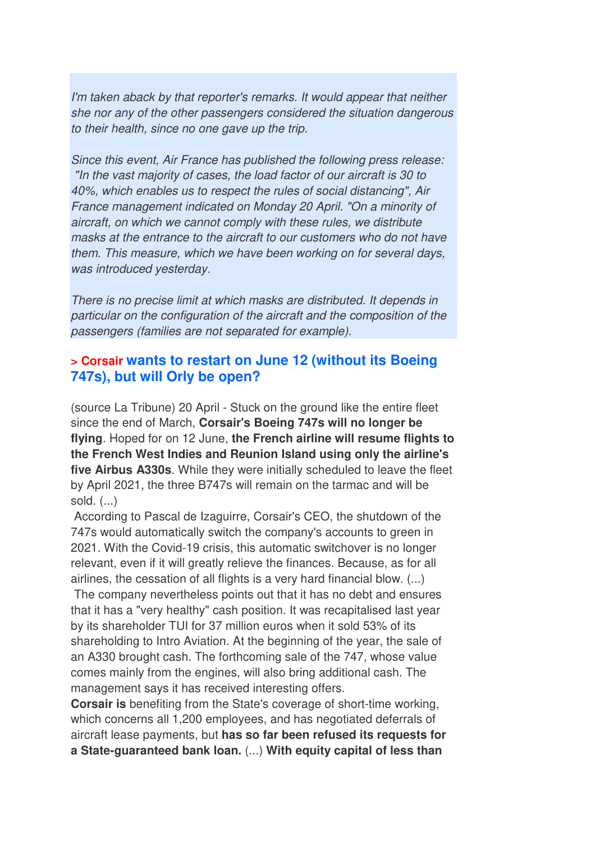I'm taken aback by that reporter's remarks. It would appear that neither she nor any of the other passengers considered the situation dangerous to their health, since no one gave up the trip.

Since this event, Air France has published the following press release: "In the vast majority of cases, the load factor of our aircraft is 30 to 40%, which enables us to respect the rules of social distancing", Air France management indicated on Monday 20 April. "On a minority of aircraft, on which we cannot comply with these rules, we distribute masks at the entrance to the aircraft to our customers who do not have them. This measure, which we have been working on for several days, was introduced yesterday.

There is no precise limit at which masks are distributed. It depends in particular on the configuration of the aircraft and the composition of the passengers (families are not separated for example).

#### **> Corsair wants to restart on June 12 (without its Boeing 747s), but will Orly be open?**

(source La Tribune) 20 April - Stuck on the ground like the entire fleet since the end of March, **Corsair's Boeing 747s will no longer be flying**. Hoped for on 12 June, **the French airline will resume flights to the French West Indies and Reunion Island using only the airline's five Airbus A330s**. While they were initially scheduled to leave the fleet by April 2021, the three B747s will remain on the tarmac and will be sold. (...)

 According to Pascal de Izaguirre, Corsair's CEO, the shutdown of the 747s would automatically switch the company's accounts to green in 2021. With the Covid-19 crisis, this automatic switchover is no longer relevant, even if it will greatly relieve the finances. Because, as for all airlines, the cessation of all flights is a very hard financial blow. (...)

 The company nevertheless points out that it has no debt and ensures that it has a "very healthy" cash position. It was recapitalised last year by its shareholder TUI for 37 million euros when it sold 53% of its shareholding to Intro Aviation. At the beginning of the year, the sale of an A330 brought cash. The forthcoming sale of the 747, whose value comes mainly from the engines, will also bring additional cash. The management says it has received interesting offers.

**Corsair is** benefiting from the State's coverage of short-time working, which concerns all 1,200 employees, and has negotiated deferrals of aircraft lease payments, but **has so far been refused its requests for a State-guaranteed bank loan.** (...) **With equity capital of less than**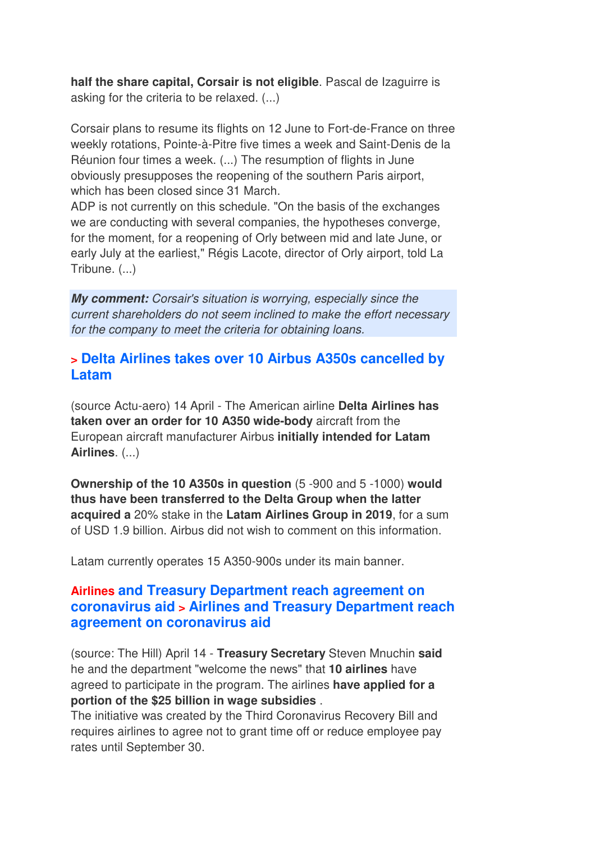**half the share capital, Corsair is not eligible**. Pascal de Izaguirre is asking for the criteria to be relaxed. (...)

Corsair plans to resume its flights on 12 June to Fort-de-France on three weekly rotations, Pointe-à-Pitre five times a week and Saint-Denis de la Réunion four times a week. (...) The resumption of flights in June obviously presupposes the reopening of the southern Paris airport, which has been closed since 31 March.

ADP is not currently on this schedule. "On the basis of the exchanges we are conducting with several companies, the hypotheses converge, for the moment, for a reopening of Orly between mid and late June, or early July at the earliest," Régis Lacote, director of Orly airport, told La Tribune. (...)

*My comment:* Corsair's situation is worrying, especially since the current shareholders do not seem inclined to make the effort necessary for the company to meet the criteria for obtaining loans.

### **> Delta Airlines takes over 10 Airbus A350s cancelled by Latam**

(source Actu-aero) 14 April - The American airline **Delta Airlines has taken over an order for 10 A350 wide-body** aircraft from the European aircraft manufacturer Airbus **initially intended for Latam Airlines**. (...)

**Ownership of the 10 A350s in question** (5 -900 and 5 -1000) **would thus have been transferred to the Delta Group when the latter acquired a** 20% stake in the **Latam Airlines Group in 2019**, for a sum of USD 1.9 billion. Airbus did not wish to comment on this information.

Latam currently operates 15 A350-900s under its main banner.

### **Airlines and Treasury Department reach agreement on coronavirus aid > Airlines and Treasury Department reach agreement on coronavirus aid**

(source: The Hill) April 14 - **Treasury Secretary** Steven Mnuchin **said** he and the department "welcome the news" that **10 airlines** have agreed to participate in the program. The airlines **have applied for a portion of the \$25 billion in wage subsidies** .

The initiative was created by the Third Coronavirus Recovery Bill and requires airlines to agree not to grant time off or reduce employee pay rates until September 30.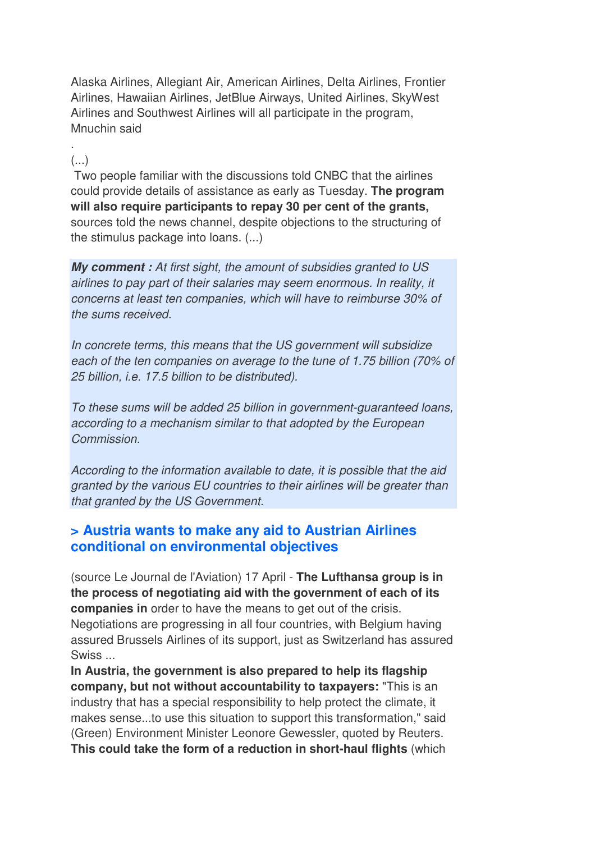Alaska Airlines, Allegiant Air, American Airlines, Delta Airlines, Frontier Airlines, Hawaiian Airlines, JetBlue Airways, United Airlines, SkyWest Airlines and Southwest Airlines will all participate in the program, Mnuchin said

#### . (...)

 Two people familiar with the discussions told CNBC that the airlines could provide details of assistance as early as Tuesday. **The program will also require participants to repay 30 per cent of the grants,** sources told the news channel, despite objections to the structuring of the stimulus package into loans. (...)

*My comment :* At first sight, the amount of subsidies granted to US airlines to pay part of their salaries may seem enormous. In reality, it concerns at least ten companies, which will have to reimburse 30% of the sums received.

In concrete terms, this means that the US government will subsidize each of the ten companies on average to the tune of 1.75 billion (70% of 25 billion, i.e. 17.5 billion to be distributed).

To these sums will be added 25 billion in government-guaranteed loans, according to a mechanism similar to that adopted by the European Commission.

According to the information available to date, it is possible that the aid granted by the various EU countries to their airlines will be greater than that granted by the US Government.

### **> Austria wants to make any aid to Austrian Airlines conditional on environmental objectives**

(source Le Journal de l'Aviation) 17 April - **The Lufthansa group is in the process of negotiating aid with the government of each of its companies in** order to have the means to get out of the crisis. Negotiations are progressing in all four countries, with Belgium having assured Brussels Airlines of its support, just as Switzerland has assured Swiss ...

**In Austria, the government is also prepared to help its flagship company, but not without accountability to taxpayers:** "This is an industry that has a special responsibility to help protect the climate, it makes sense...to use this situation to support this transformation," said (Green) Environment Minister Leonore Gewessler, quoted by Reuters. **This could take the form of a reduction in short-haul flights** (which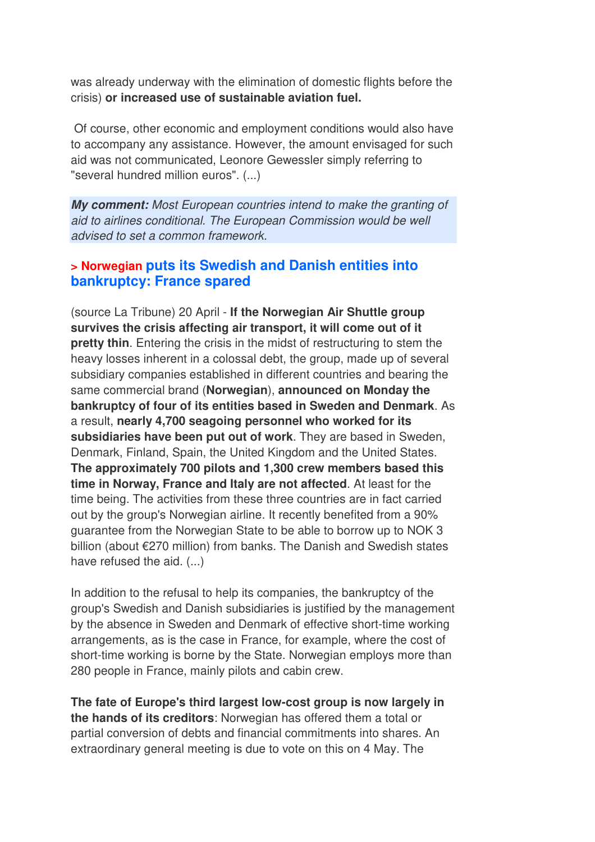was already underway with the elimination of domestic flights before the crisis) **or increased use of sustainable aviation fuel.** 

 Of course, other economic and employment conditions would also have to accompany any assistance. However, the amount envisaged for such aid was not communicated, Leonore Gewessler simply referring to "several hundred million euros". (...)

*My comment:* Most European countries intend to make the granting of aid to airlines conditional. The European Commission would be well advised to set a common framework.

### **> Norwegian puts its Swedish and Danish entities into bankruptcy: France spared**

(source La Tribune) 20 April - **If the Norwegian Air Shuttle group survives the crisis affecting air transport, it will come out of it pretty thin**. Entering the crisis in the midst of restructuring to stem the heavy losses inherent in a colossal debt, the group, made up of several subsidiary companies established in different countries and bearing the same commercial brand (**Norwegian**), **announced on Monday the bankruptcy of four of its entities based in Sweden and Denmark**. As a result, **nearly 4,700 seagoing personnel who worked for its subsidiaries have been put out of work**. They are based in Sweden, Denmark, Finland, Spain, the United Kingdom and the United States. **The approximately 700 pilots and 1,300 crew members based this time in Norway, France and Italy are not affected**. At least for the time being. The activities from these three countries are in fact carried out by the group's Norwegian airline. It recently benefited from a 90% guarantee from the Norwegian State to be able to borrow up to NOK 3 billion (about €270 million) from banks. The Danish and Swedish states have refused the aid. (...)

In addition to the refusal to help its companies, the bankruptcy of the group's Swedish and Danish subsidiaries is justified by the management by the absence in Sweden and Denmark of effective short-time working arrangements, as is the case in France, for example, where the cost of short-time working is borne by the State. Norwegian employs more than 280 people in France, mainly pilots and cabin crew.

**The fate of Europe's third largest low-cost group is now largely in the hands of its creditors**: Norwegian has offered them a total or partial conversion of debts and financial commitments into shares. An extraordinary general meeting is due to vote on this on 4 May. The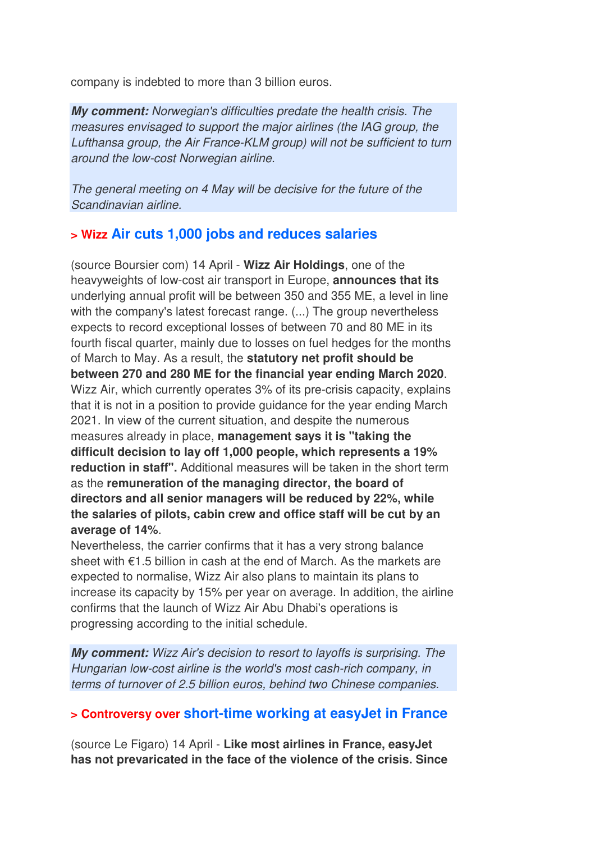company is indebted to more than 3 billion euros.

*My comment:* Norwegian's difficulties predate the health crisis. The measures envisaged to support the major airlines (the IAG group, the Lufthansa group, the Air France-KLM group) will not be sufficient to turn around the low-cost Norwegian airline.

The general meeting on 4 May will be decisive for the future of the Scandinavian airline.

#### **> Wizz Air cuts 1,000 jobs and reduces salaries**

(source Boursier com) 14 April - **Wizz Air Holdings**, one of the heavyweights of low-cost air transport in Europe, **announces that its** underlying annual profit will be between 350 and 355 ME, a level in line with the company's latest forecast range. (...) The group nevertheless expects to record exceptional losses of between 70 and 80 ME in its fourth fiscal quarter, mainly due to losses on fuel hedges for the months of March to May. As a result, the **statutory net profit should be between 270 and 280 ME for the financial year ending March 2020**. Wizz Air, which currently operates 3% of its pre-crisis capacity, explains that it is not in a position to provide guidance for the year ending March 2021. In view of the current situation, and despite the numerous measures already in place, **management says it is "taking the difficult decision to lay off 1,000 people, which represents a 19% reduction in staff".** Additional measures will be taken in the short term as the **remuneration of the managing director, the board of directors and all senior managers will be reduced by 22%, while the salaries of pilots, cabin crew and office staff will be cut by an average of 14%**.

Nevertheless, the carrier confirms that it has a very strong balance sheet with €1.5 billion in cash at the end of March. As the markets are expected to normalise, Wizz Air also plans to maintain its plans to increase its capacity by 15% per year on average. In addition, the airline confirms that the launch of Wizz Air Abu Dhabi's operations is progressing according to the initial schedule.

*My comment:* Wizz Air's decision to resort to layoffs is surprising. The Hungarian low-cost airline is the world's most cash-rich company, in terms of turnover of 2.5 billion euros, behind two Chinese companies.

#### **> Controversy over short-time working at easyJet in France**

(source Le Figaro) 14 April - **Like most airlines in France, easyJet has not prevaricated in the face of the violence of the crisis. Since**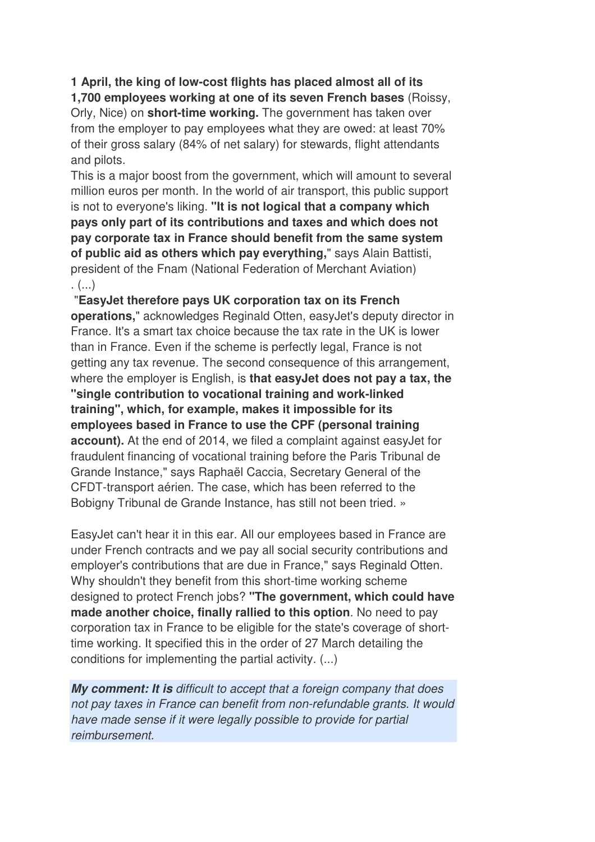**1 April, the king of low-cost flights has placed almost all of its** 

**1,700 employees working at one of its seven French bases** (Roissy, Orly, Nice) on **short-time working.** The government has taken over from the employer to pay employees what they are owed: at least 70% of their gross salary (84% of net salary) for stewards, flight attendants and pilots.

This is a major boost from the government, which will amount to several million euros per month. In the world of air transport, this public support is not to everyone's liking. **"It is not logical that a company which pays only part of its contributions and taxes and which does not pay corporate tax in France should benefit from the same system of public aid as others which pay everything,**" says Alain Battisti, president of the Fnam (National Federation of Merchant Aviation) . (...)

 "**EasyJet therefore pays UK corporation tax on its French operations,**" acknowledges Reginald Otten, easyJet's deputy director in France. It's a smart tax choice because the tax rate in the UK is lower than in France. Even if the scheme is perfectly legal, France is not getting any tax revenue. The second consequence of this arrangement, where the employer is English, is **that easyJet does not pay a tax, the "single contribution to vocational training and work-linked training", which, for example, makes it impossible for its employees based in France to use the CPF (personal training account).** At the end of 2014, we filed a complaint against easyJet for fraudulent financing of vocational training before the Paris Tribunal de Grande Instance," says Raphaël Caccia, Secretary General of the CFDT-transport aérien. The case, which has been referred to the Bobigny Tribunal de Grande Instance, has still not been tried. »

EasyJet can't hear it in this ear. All our employees based in France are under French contracts and we pay all social security contributions and employer's contributions that are due in France," says Reginald Otten. Why shouldn't they benefit from this short-time working scheme designed to protect French jobs? **"The government, which could have made another choice, finally rallied to this option**. No need to pay corporation tax in France to be eligible for the state's coverage of shorttime working. It specified this in the order of 27 March detailing the conditions for implementing the partial activity. (...)

*My comment: It is* difficult to accept that a foreign company that does not pay taxes in France can benefit from non-refundable grants. It would have made sense if it were legally possible to provide for partial reimbursement.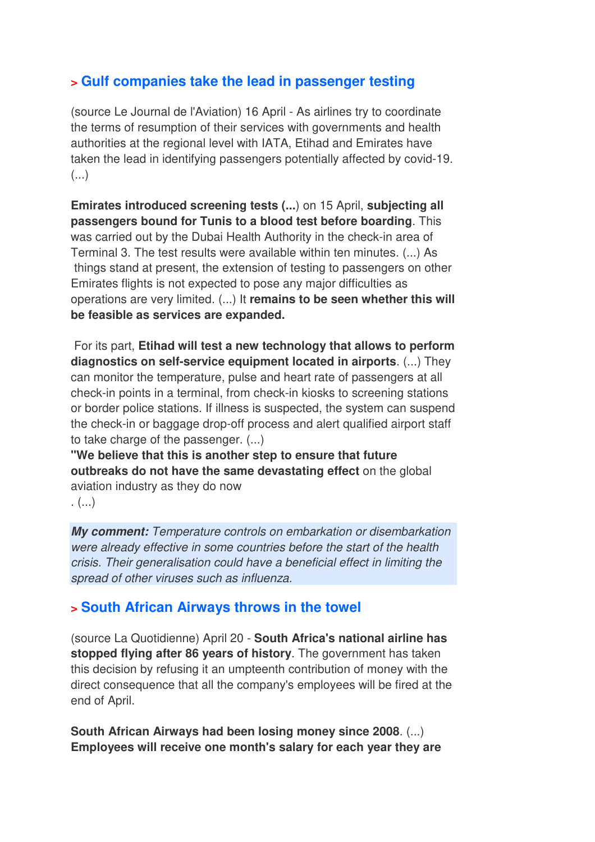## **> Gulf companies take the lead in passenger testing**

(source Le Journal de l'Aviation) 16 April - As airlines try to coordinate the terms of resumption of their services with governments and health authorities at the regional level with IATA, Etihad and Emirates have taken the lead in identifying passengers potentially affected by covid-19.  $\left( \ldots \right)$ 

**Emirates introduced screening tests (...**) on 15 April, **subjecting all passengers bound for Tunis to a blood test before boarding**. This was carried out by the Dubai Health Authority in the check-in area of Terminal 3. The test results were available within ten minutes. (...) As things stand at present, the extension of testing to passengers on other Emirates flights is not expected to pose any major difficulties as operations are very limited. (...) It **remains to be seen whether this will be feasible as services are expanded.** 

 For its part, **Etihad will test a new technology that allows to perform diagnostics on self-service equipment located in airports**. (...) They can monitor the temperature, pulse and heart rate of passengers at all check-in points in a terminal, from check-in kiosks to screening stations or border police stations. If illness is suspected, the system can suspend the check-in or baggage drop-off process and alert qualified airport staff to take charge of the passenger. (...)

**"We believe that this is another step to ensure that future outbreaks do not have the same devastating effect** on the global aviation industry as they do now

. (...)

*My comment:* Temperature controls on embarkation or disembarkation were already effective in some countries before the start of the health crisis. Their generalisation could have a beneficial effect in limiting the spread of other viruses such as influenza.

## **> South African Airways throws in the towel**

(source La Quotidienne) April 20 - **South Africa's national airline has stopped flying after 86 years of history**. The government has taken this decision by refusing it an umpteenth contribution of money with the direct consequence that all the company's employees will be fired at the end of April.

**South African Airways had been losing money since 2008**. (...) **Employees will receive one month's salary for each year they are**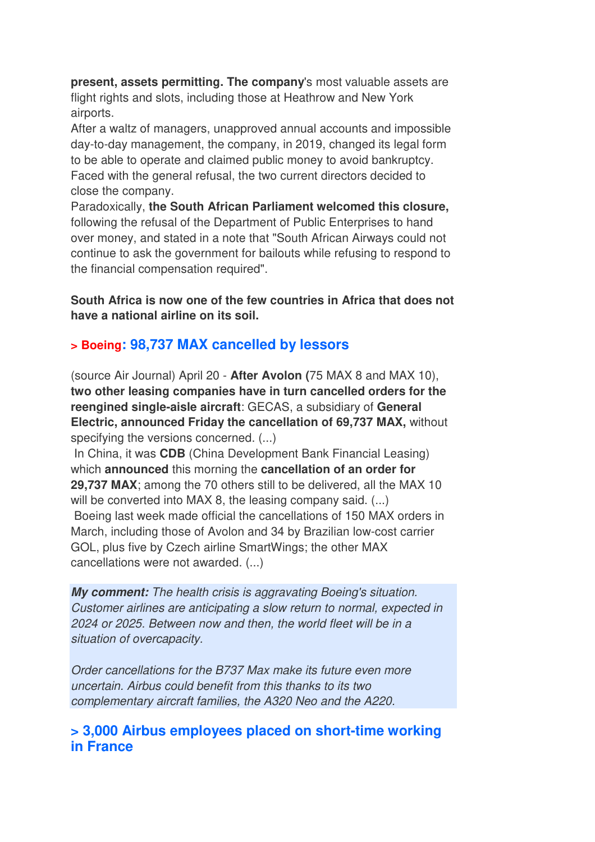**present, assets permitting. The company**'s most valuable assets are flight rights and slots, including those at Heathrow and New York airports.

After a waltz of managers, unapproved annual accounts and impossible day-to-day management, the company, in 2019, changed its legal form to be able to operate and claimed public money to avoid bankruptcy. Faced with the general refusal, the two current directors decided to close the company.

Paradoxically, **the South African Parliament welcomed this closure,** following the refusal of the Department of Public Enterprises to hand over money, and stated in a note that "South African Airways could not continue to ask the government for bailouts while refusing to respond to the financial compensation required".

**South Africa is now one of the few countries in Africa that does not have a national airline on its soil.** 

## **> Boeing: 98,737 MAX cancelled by lessors**

(source Air Journal) April 20 - **After Avolon (**75 MAX 8 and MAX 10), **two other leasing companies have in turn cancelled orders for the reengined single-aisle aircraft**: GECAS, a subsidiary of **General Electric, announced Friday the cancellation of 69,737 MAX,** without specifying the versions concerned. (...)

 In China, it was **CDB** (China Development Bank Financial Leasing) which **announced** this morning the **cancellation of an order for 29,737 MAX**; among the 70 others still to be delivered, all the MAX 10 will be converted into MAX 8, the leasing company said.  $(...)$  Boeing last week made official the cancellations of 150 MAX orders in March, including those of Avolon and 34 by Brazilian low-cost carrier GOL, plus five by Czech airline SmartWings; the other MAX cancellations were not awarded. (...)

*My comment:* The health crisis is aggravating Boeing's situation. Customer airlines are anticipating a slow return to normal, expected in 2024 or 2025. Between now and then, the world fleet will be in a situation of overcapacity.

Order cancellations for the B737 Max make its future even more uncertain. Airbus could benefit from this thanks to its two complementary aircraft families, the A320 Neo and the A220.

### **> 3,000 Airbus employees placed on short-time working in France**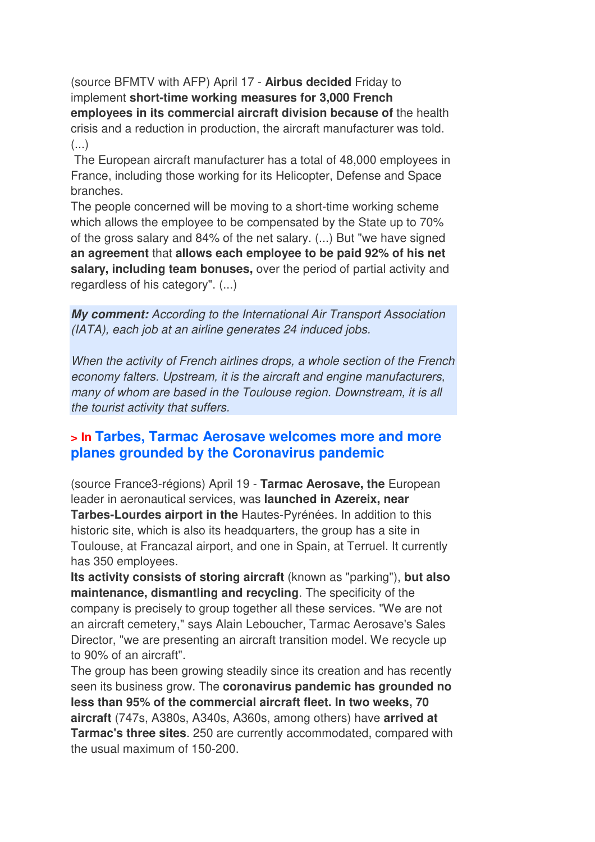(source BFMTV with AFP) April 17 - **Airbus decided** Friday to implement **short-time working measures for 3,000 French employees in its commercial aircraft division because of** the health crisis and a reduction in production, the aircraft manufacturer was told. (...)

 The European aircraft manufacturer has a total of 48,000 employees in France, including those working for its Helicopter, Defense and Space branches.

The people concerned will be moving to a short-time working scheme which allows the employee to be compensated by the State up to 70% of the gross salary and 84% of the net salary. (...) But "we have signed **an agreement** that **allows each employee to be paid 92% of his net salary, including team bonuses,** over the period of partial activity and regardless of his category". (...)

*My comment:* According to the International Air Transport Association (IATA), each job at an airline generates 24 induced jobs.

When the activity of French airlines drops, a whole section of the French economy falters. Upstream, it is the aircraft and engine manufacturers, many of whom are based in the Toulouse region. Downstream, it is all the tourist activity that suffers.

### **> In Tarbes, Tarmac Aerosave welcomes more and more planes grounded by the Coronavirus pandemic**

(source France3-régions) April 19 - **Tarmac Aerosave, the** European leader in aeronautical services, was **launched in Azereix, near Tarbes-Lourdes airport in the** Hautes-Pyrénées. In addition to this historic site, which is also its headquarters, the group has a site in Toulouse, at Francazal airport, and one in Spain, at Terruel. It currently has 350 employees.

**Its activity consists of storing aircraft** (known as "parking"), **but also maintenance, dismantling and recycling**. The specificity of the company is precisely to group together all these services. "We are not an aircraft cemetery," says Alain Leboucher, Tarmac Aerosave's Sales Director, "we are presenting an aircraft transition model. We recycle up to 90% of an aircraft".

The group has been growing steadily since its creation and has recently seen its business grow. The **coronavirus pandemic has grounded no less than 95% of the commercial aircraft fleet. In two weeks, 70 aircraft** (747s, A380s, A340s, A360s, among others) have **arrived at Tarmac's three sites**. 250 are currently accommodated, compared with the usual maximum of 150-200.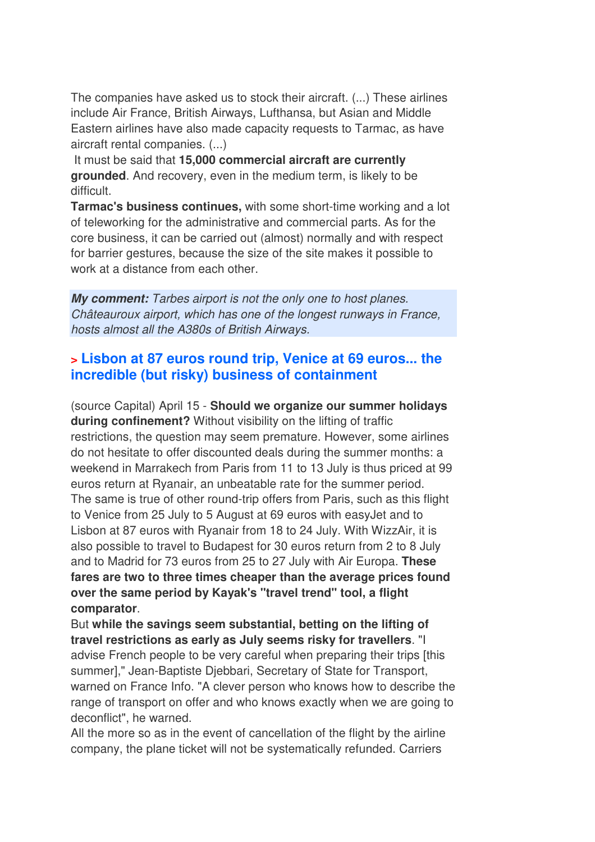The companies have asked us to stock their aircraft. (...) These airlines include Air France, British Airways, Lufthansa, but Asian and Middle Eastern airlines have also made capacity requests to Tarmac, as have aircraft rental companies. (...)

 It must be said that **15,000 commercial aircraft are currently grounded**. And recovery, even in the medium term, is likely to be difficult.

**Tarmac's business continues,** with some short-time working and a lot of teleworking for the administrative and commercial parts. As for the core business, it can be carried out (almost) normally and with respect for barrier gestures, because the size of the site makes it possible to work at a distance from each other.

*My comment:* Tarbes airport is not the only one to host planes. Châteauroux airport, which has one of the longest runways in France, hosts almost all the A380s of British Airways.

### **> Lisbon at 87 euros round trip, Venice at 69 euros... the incredible (but risky) business of containment**

(source Capital) April 15 - **Should we organize our summer holidays during confinement?** Without visibility on the lifting of traffic restrictions, the question may seem premature. However, some airlines do not hesitate to offer discounted deals during the summer months: a weekend in Marrakech from Paris from 11 to 13 July is thus priced at 99 euros return at Ryanair, an unbeatable rate for the summer period. The same is true of other round-trip offers from Paris, such as this flight to Venice from 25 July to 5 August at 69 euros with easyJet and to Lisbon at 87 euros with Ryanair from 18 to 24 July. With WizzAir, it is also possible to travel to Budapest for 30 euros return from 2 to 8 July and to Madrid for 73 euros from 25 to 27 July with Air Europa. **These fares are two to three times cheaper than the average prices found over the same period by Kayak's "travel trend" tool, a flight comparator**.

But **while the savings seem substantial, betting on the lifting of travel restrictions as early as July seems risky for travellers**. "I advise French people to be very careful when preparing their trips [this summer]," Jean-Baptiste Djebbari, Secretary of State for Transport, warned on France Info. "A clever person who knows how to describe the range of transport on offer and who knows exactly when we are going to deconflict", he warned.

All the more so as in the event of cancellation of the flight by the airline company, the plane ticket will not be systematically refunded. Carriers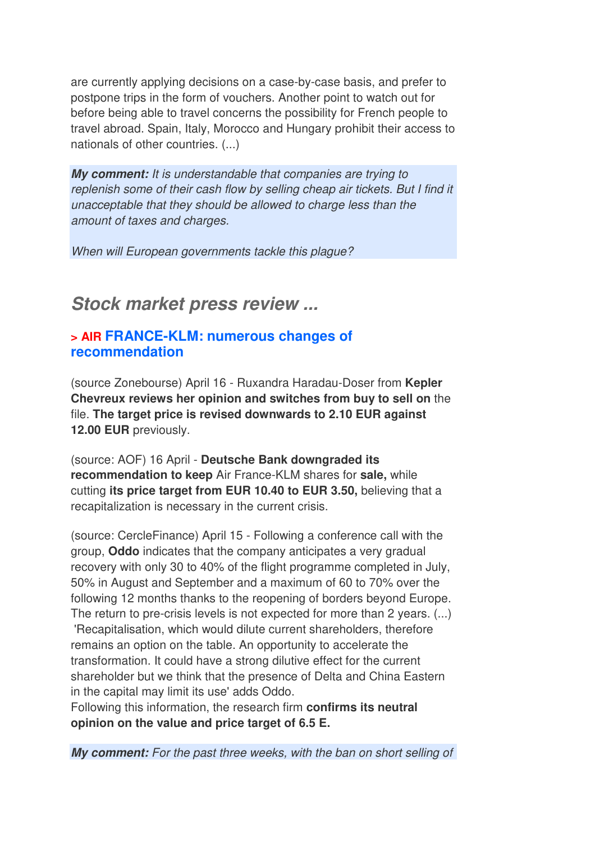are currently applying decisions on a case-by-case basis, and prefer to postpone trips in the form of vouchers. Another point to watch out for before being able to travel concerns the possibility for French people to travel abroad. Spain, Italy, Morocco and Hungary prohibit their access to nationals of other countries. (...)

*My comment:* It is understandable that companies are trying to replenish some of their cash flow by selling cheap air tickets. But I find it unacceptable that they should be allowed to charge less than the amount of taxes and charges.

When will European governments tackle this plague?

## *Stock market press review ...*

#### **> AIR FRANCE-KLM: numerous changes of recommendation**

(source Zonebourse) April 16 - Ruxandra Haradau-Doser from **Kepler Chevreux reviews her opinion and switches from buy to sell on** the file. **The target price is revised downwards to 2.10 EUR against 12.00 EUR** previously.

(source: AOF) 16 April - **Deutsche Bank downgraded its recommendation to keep** Air France-KLM shares for **sale,** while cutting **its price target from EUR 10.40 to EUR 3.50,** believing that a recapitalization is necessary in the current crisis.

(source: CercleFinance) April 15 - Following a conference call with the group, **Oddo** indicates that the company anticipates a very gradual recovery with only 30 to 40% of the flight programme completed in July, 50% in August and September and a maximum of 60 to 70% over the following 12 months thanks to the reopening of borders beyond Europe. The return to pre-crisis levels is not expected for more than 2 years. (...) 'Recapitalisation, which would dilute current shareholders, therefore remains an option on the table. An opportunity to accelerate the transformation. It could have a strong dilutive effect for the current shareholder but we think that the presence of Delta and China Eastern in the capital may limit its use' adds Oddo.

Following this information, the research firm **confirms its neutral opinion on the value and price target of 6.5 E.**

*My comment:* For the past three weeks, with the ban on short selling of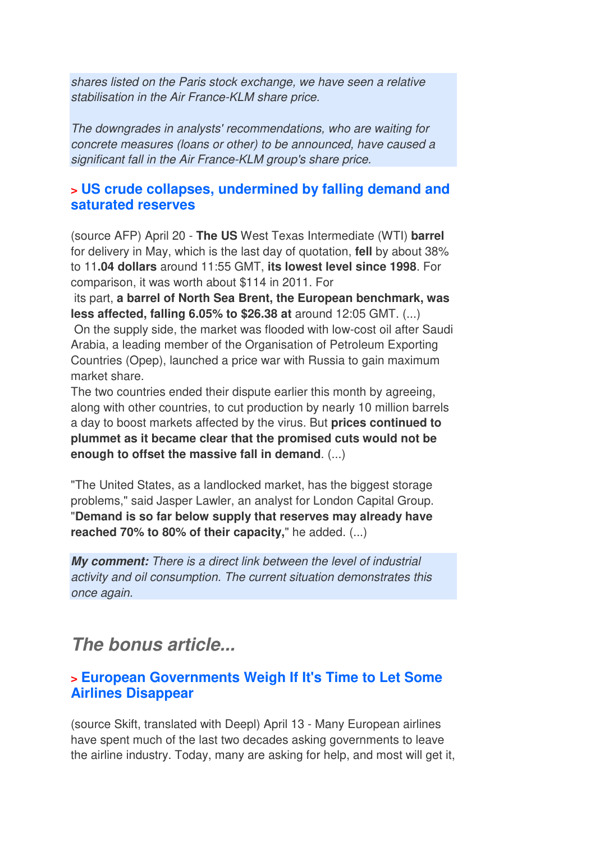shares listed on the Paris stock exchange, we have seen a relative stabilisation in the Air France-KLM share price.

The downgrades in analysts' recommendations, who are waiting for concrete measures (loans or other) to be announced, have caused a significant fall in the Air France-KLM group's share price.

### **> US crude collapses, undermined by falling demand and saturated reserves**

(source AFP) April 20 - **The US** West Texas Intermediate (WTI) **barrel** for delivery in May, which is the last day of quotation, **fell** by about 38% to 11**.04 dollars** around 11:55 GMT, **its lowest level since 1998**. For comparison, it was worth about \$114 in 2011. For

 its part, **a barrel of North Sea Brent, the European benchmark, was less affected, falling 6.05% to \$26.38 at** around 12:05 GMT. (...) On the supply side, the market was flooded with low-cost oil after Saudi Arabia, a leading member of the Organisation of Petroleum Exporting Countries (Opep), launched a price war with Russia to gain maximum market share.

The two countries ended their dispute earlier this month by agreeing, along with other countries, to cut production by nearly 10 million barrels a day to boost markets affected by the virus. But **prices continued to plummet as it became clear that the promised cuts would not be enough to offset the massive fall in demand**. (...)

"The United States, as a landlocked market, has the biggest storage problems," said Jasper Lawler, an analyst for London Capital Group. "**Demand is so far below supply that reserves may already have reached 70% to 80% of their capacity,**" he added. (...)

*My comment:* There is a direct link between the level of industrial activity and oil consumption. The current situation demonstrates this once again.

## *The bonus article...*

## **> European Governments Weigh If It's Time to Let Some Airlines Disappear**

(source Skift, translated with Deepl) April 13 - Many European airlines have spent much of the last two decades asking governments to leave the airline industry. Today, many are asking for help, and most will get it,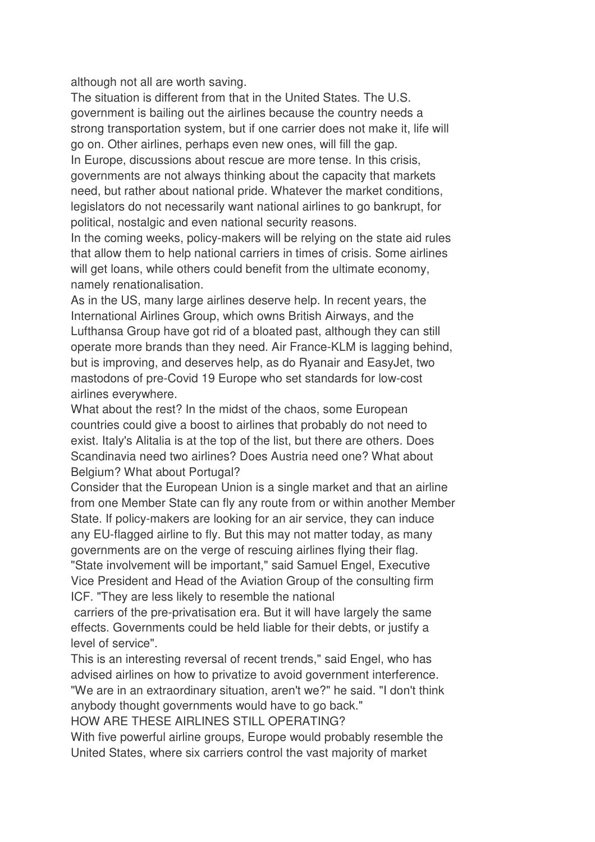although not all are worth saving.

The situation is different from that in the United States. The U.S. government is bailing out the airlines because the country needs a strong transportation system, but if one carrier does not make it, life will go on. Other airlines, perhaps even new ones, will fill the gap. In Europe, discussions about rescue are more tense. In this crisis, governments are not always thinking about the capacity that markets need, but rather about national pride. Whatever the market conditions, legislators do not necessarily want national airlines to go bankrupt, for political, nostalgic and even national security reasons.

In the coming weeks, policy-makers will be relying on the state aid rules that allow them to help national carriers in times of crisis. Some airlines will get loans, while others could benefit from the ultimate economy, namely renationalisation.

As in the US, many large airlines deserve help. In recent years, the International Airlines Group, which owns British Airways, and the Lufthansa Group have got rid of a bloated past, although they can still operate more brands than they need. Air France-KLM is lagging behind, but is improving, and deserves help, as do Ryanair and EasyJet, two mastodons of pre-Covid 19 Europe who set standards for low-cost airlines everywhere.

What about the rest? In the midst of the chaos, some European countries could give a boost to airlines that probably do not need to exist. Italy's Alitalia is at the top of the list, but there are others. Does Scandinavia need two airlines? Does Austria need one? What about Belgium? What about Portugal?

Consider that the European Union is a single market and that an airline from one Member State can fly any route from or within another Member State. If policy-makers are looking for an air service, they can induce any EU-flagged airline to fly. But this may not matter today, as many governments are on the verge of rescuing airlines flying their flag. "State involvement will be important," said Samuel Engel, Executive Vice President and Head of the Aviation Group of the consulting firm ICF. "They are less likely to resemble the national

 carriers of the pre-privatisation era. But it will have largely the same effects. Governments could be held liable for their debts, or justify a level of service".

This is an interesting reversal of recent trends," said Engel, who has advised airlines on how to privatize to avoid government interference.

"We are in an extraordinary situation, aren't we?" he said. "I don't think anybody thought governments would have to go back."

HOW ARE THESE AIRLINES STILL OPERATING?

With five powerful airline groups, Europe would probably resemble the United States, where six carriers control the vast majority of market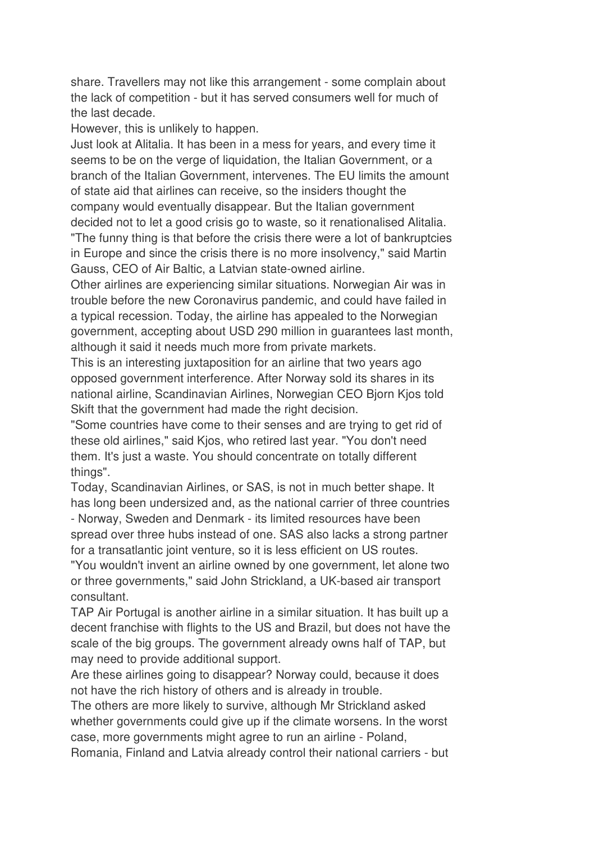share. Travellers may not like this arrangement - some complain about the lack of competition - but it has served consumers well for much of the last decade.

However, this is unlikely to happen.

Just look at Alitalia. It has been in a mess for years, and every time it seems to be on the verge of liquidation, the Italian Government, or a branch of the Italian Government, intervenes. The EU limits the amount of state aid that airlines can receive, so the insiders thought the company would eventually disappear. But the Italian government decided not to let a good crisis go to waste, so it renationalised Alitalia. "The funny thing is that before the crisis there were a lot of bankruptcies in Europe and since the crisis there is no more insolvency," said Martin Gauss, CEO of Air Baltic, a Latvian state-owned airline.

Other airlines are experiencing similar situations. Norwegian Air was in trouble before the new Coronavirus pandemic, and could have failed in a typical recession. Today, the airline has appealed to the Norwegian government, accepting about USD 290 million in guarantees last month, although it said it needs much more from private markets.

This is an interesting juxtaposition for an airline that two years ago opposed government interference. After Norway sold its shares in its national airline, Scandinavian Airlines, Norwegian CEO Bjorn Kjos told Skift that the government had made the right decision.

"Some countries have come to their senses and are trying to get rid of these old airlines," said Kjos, who retired last year. "You don't need them. It's just a waste. You should concentrate on totally different things".

Today, Scandinavian Airlines, or SAS, is not in much better shape. It has long been undersized and, as the national carrier of three countries - Norway, Sweden and Denmark - its limited resources have been spread over three hubs instead of one. SAS also lacks a strong partner for a transatlantic joint venture, so it is less efficient on US routes.

"You wouldn't invent an airline owned by one government, let alone two or three governments," said John Strickland, a UK-based air transport consultant.

TAP Air Portugal is another airline in a similar situation. It has built up a decent franchise with flights to the US and Brazil, but does not have the scale of the big groups. The government already owns half of TAP, but may need to provide additional support.

Are these airlines going to disappear? Norway could, because it does not have the rich history of others and is already in trouble.

The others are more likely to survive, although Mr Strickland asked whether governments could give up if the climate worsens. In the worst case, more governments might agree to run an airline - Poland,

Romania, Finland and Latvia already control their national carriers - but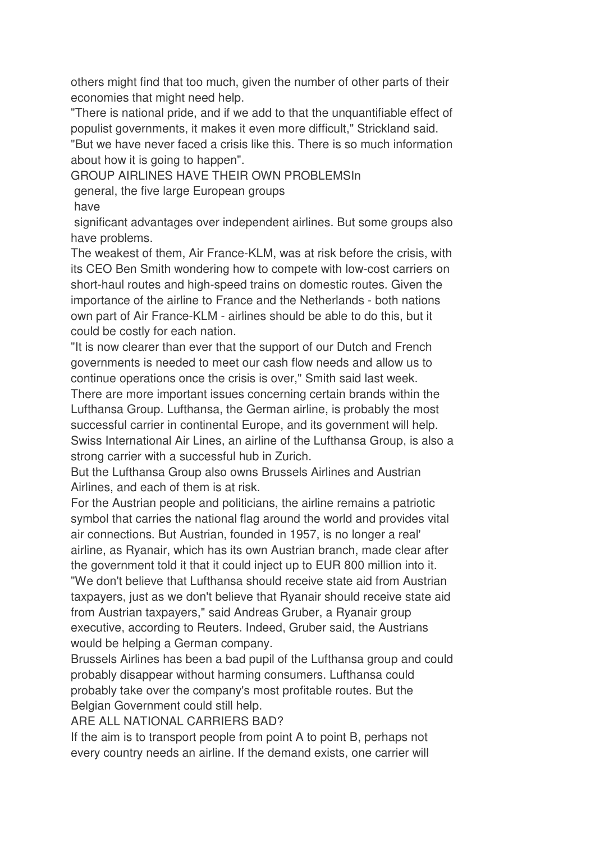others might find that too much, given the number of other parts of their economies that might need help.

"There is national pride, and if we add to that the unquantifiable effect of populist governments, it makes it even more difficult," Strickland said.

"But we have never faced a crisis like this. There is so much information about how it is going to happen".

GROUP AIRLINES HAVE THEIR OWN PROBLEMSIn

general, the five large European groups

have

 significant advantages over independent airlines. But some groups also have problems.

The weakest of them, Air France-KLM, was at risk before the crisis, with its CEO Ben Smith wondering how to compete with low-cost carriers on short-haul routes and high-speed trains on domestic routes. Given the importance of the airline to France and the Netherlands - both nations own part of Air France-KLM - airlines should be able to do this, but it could be costly for each nation.

"It is now clearer than ever that the support of our Dutch and French governments is needed to meet our cash flow needs and allow us to continue operations once the crisis is over," Smith said last week.

There are more important issues concerning certain brands within the Lufthansa Group. Lufthansa, the German airline, is probably the most successful carrier in continental Europe, and its government will help. Swiss International Air Lines, an airline of the Lufthansa Group, is also a strong carrier with a successful hub in Zurich.

But the Lufthansa Group also owns Brussels Airlines and Austrian Airlines, and each of them is at risk.

For the Austrian people and politicians, the airline remains a patriotic symbol that carries the national flag around the world and provides vital air connections. But Austrian, founded in 1957, is no longer a real' airline, as Ryanair, which has its own Austrian branch, made clear after the government told it that it could inject up to EUR 800 million into it. "We don't believe that Lufthansa should receive state aid from Austrian taxpayers, just as we don't believe that Ryanair should receive state aid from Austrian taxpayers," said Andreas Gruber, a Ryanair group executive, according to Reuters. Indeed, Gruber said, the Austrians would be helping a German company.

Brussels Airlines has been a bad pupil of the Lufthansa group and could probably disappear without harming consumers. Lufthansa could probably take over the company's most profitable routes. But the Belgian Government could still help.

ARE ALL NATIONAL CARRIERS BAD?

If the aim is to transport people from point A to point B, perhaps not every country needs an airline. If the demand exists, one carrier will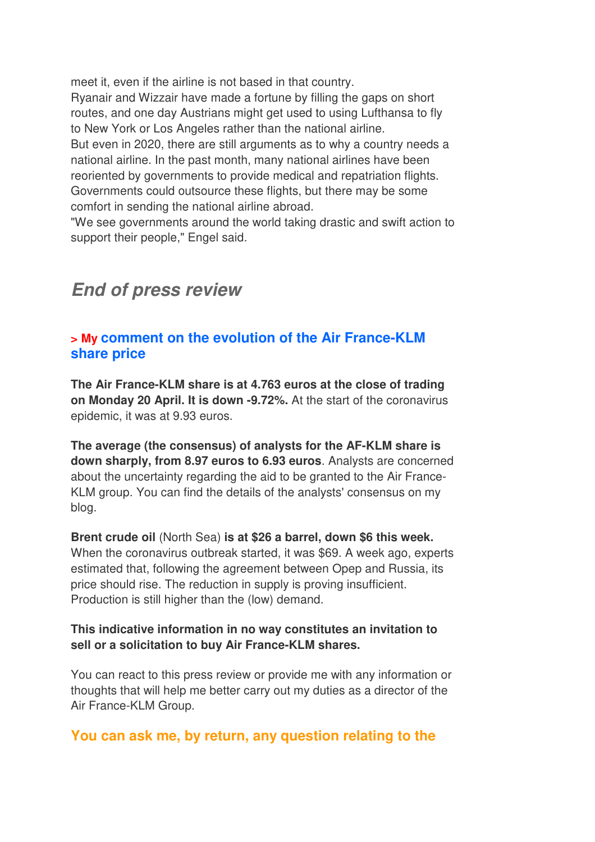meet it, even if the airline is not based in that country. Ryanair and Wizzair have made a fortune by filling the gaps on short routes, and one day Austrians might get used to using Lufthansa to fly to New York or Los Angeles rather than the national airline. But even in 2020, there are still arguments as to why a country needs a national airline. In the past month, many national airlines have been reoriented by governments to provide medical and repatriation flights. Governments could outsource these flights, but there may be some comfort in sending the national airline abroad.

"We see governments around the world taking drastic and swift action to support their people," Engel said.

## *End of press review*

### **> My comment on the evolution of the Air France-KLM share price**

**The Air France-KLM share is at 4.763 euros at the close of trading on Monday 20 April. It is down -9.72%.** At the start of the coronavirus epidemic, it was at 9.93 euros.

**The average (the consensus) of analysts for the AF-KLM share is down sharply, from 8.97 euros to 6.93 euros**. Analysts are concerned about the uncertainty regarding the aid to be granted to the Air France-KLM group. You can find the details of the analysts' consensus on my blog.

**Brent crude oil** (North Sea) **is at \$26 a barrel, down \$6 this week.**  When the coronavirus outbreak started, it was \$69. A week ago, experts estimated that, following the agreement between Opep and Russia, its price should rise. The reduction in supply is proving insufficient. Production is still higher than the (low) demand.

#### **This indicative information in no way constitutes an invitation to sell or a solicitation to buy Air France-KLM shares.**

You can react to this press review or provide me with any information or thoughts that will help me better carry out my duties as a director of the Air France-KLM Group.

## **You can ask me, by return, any question relating to the**